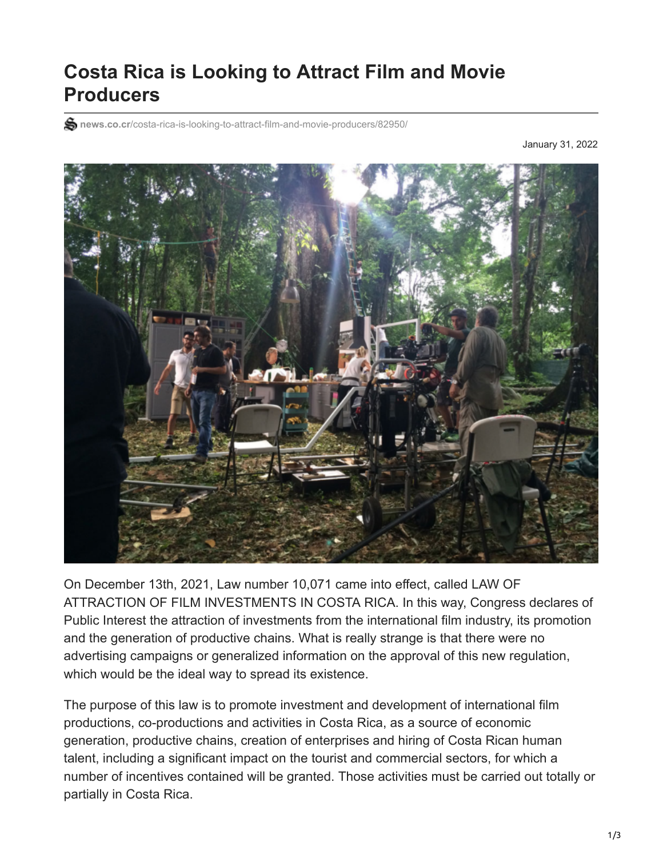## **Costa Rica is Looking to Attract Film and Movie Producers**

**S** news.co.cr[/costa-rica-is-looking-to-attract-film-and-movie-producers/82950/](https://news.co.cr/costa-rica-is-looking-to-attract-film-and-movie-producers/82950/)

January 31, 2022



On December 13th, 2021, Law number 10,071 came into effect, called LAW OF ATTRACTION OF FILM INVESTMENTS IN COSTA RICA. In this way, Congress declares of Public Interest the attraction of investments from the international film industry, its promotion and the generation of productive chains. What is really strange is that there were no advertising campaigns or generalized information on the approval of this new regulation, which would be the ideal way to spread its existence.

The purpose of this law is to promote investment and development of international film productions, co-productions and activities in Costa Rica, as a source of economic generation, productive chains, creation of enterprises and hiring of Costa Rican human talent, including a significant impact on the tourist and commercial sectors, for which a number of incentives contained will be granted. Those activities must be carried out totally or partially in Costa Rica.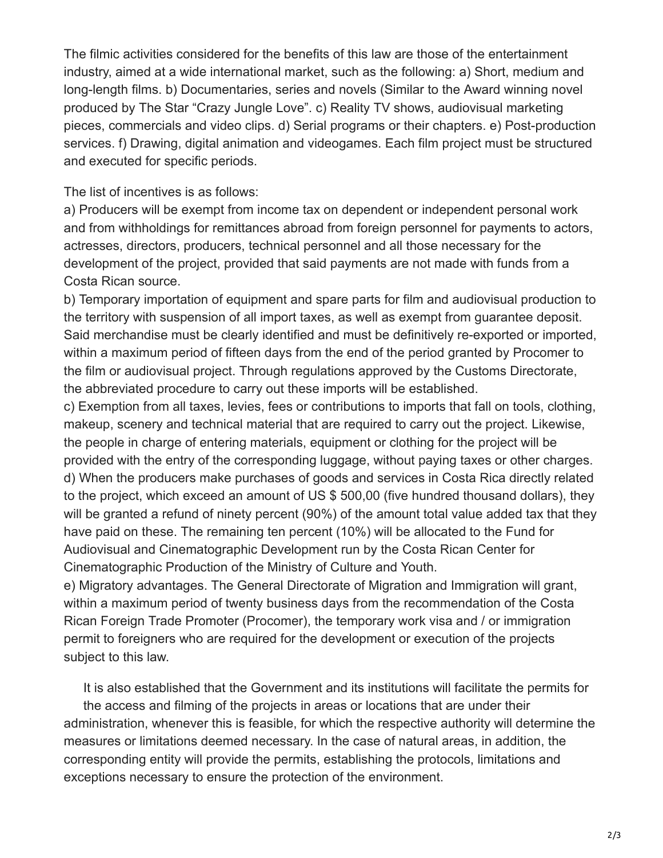The filmic activities considered for the benefits of this law are those of the entertainment industry, aimed at a wide international market, such as the following: a) Short, medium and long-length films. b) Documentaries, series and novels (Similar to the Award winning novel produced by The Star "Crazy Jungle Love". c) Reality TV shows, audiovisual marketing pieces, commercials and video clips. d) Serial programs or their chapters. e) Post-production services. f) Drawing, digital animation and videogames. Each film project must be structured and executed for specific periods.

The list of incentives is as follows:

a) Producers will be exempt from income tax on dependent or independent personal work and from withholdings for remittances abroad from foreign personnel for payments to actors, actresses, directors, producers, technical personnel and all those necessary for the development of the project, provided that said payments are not made with funds from a Costa Rican source.

b) Temporary importation of equipment and spare parts for film and audiovisual production to the territory with suspension of all import taxes, as well as exempt from guarantee deposit. Said merchandise must be clearly identified and must be definitively re-exported or imported, within a maximum period of fifteen days from the end of the period granted by Procomer to the film or audiovisual project. Through regulations approved by the Customs Directorate, the abbreviated procedure to carry out these imports will be established.

c) Exemption from all taxes, levies, fees or contributions to imports that fall on tools, clothing, makeup, scenery and technical material that are required to carry out the project. Likewise, the people in charge of entering materials, equipment or clothing for the project will be provided with the entry of the corresponding luggage, without paying taxes or other charges. d) When the producers make purchases of goods and services in Costa Rica directly related to the project, which exceed an amount of US \$ 500,00 (five hundred thousand dollars), they will be granted a refund of ninety percent (90%) of the amount total value added tax that they have paid on these. The remaining ten percent (10%) will be allocated to the Fund for Audiovisual and Cinematographic Development run by the Costa Rican Center for Cinematographic Production of the Ministry of Culture and Youth.

e) Migratory advantages. The General Directorate of Migration and Immigration will grant, within a maximum period of twenty business days from the recommendation of the Costa Rican Foreign Trade Promoter (Procomer), the temporary work visa and / or immigration permit to foreigners who are required for the development or execution of the projects subject to this law.

It is also established that the Government and its institutions will facilitate the permits for the access and filming of the projects in areas or locations that are under their administration, whenever this is feasible, for which the respective authority will determine the measures or limitations deemed necessary. In the case of natural areas, in addition, the corresponding entity will provide the permits, establishing the protocols, limitations and exceptions necessary to ensure the protection of the environment.